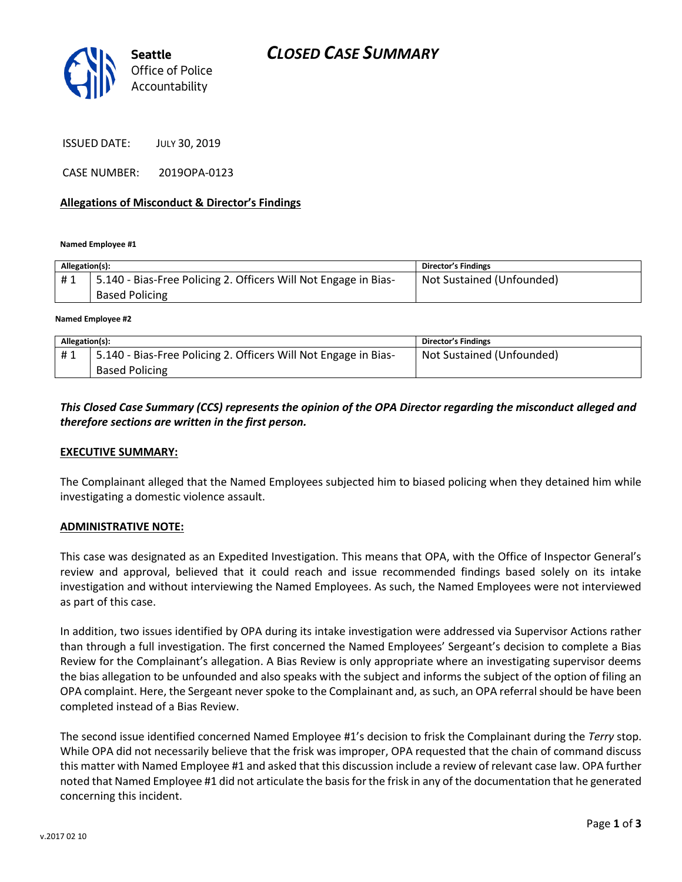

ISSUED DATE: JULY 30, 2019

CASE NUMBER: 2019OPA-0123

### **Allegations of Misconduct & Director's Findings**

**Named Employee #1**

| Allegation(s): |                                                                 | Director's Findings       |
|----------------|-----------------------------------------------------------------|---------------------------|
| #1             | 5.140 - Bias-Free Policing 2. Officers Will Not Engage in Bias- | Not Sustained (Unfounded) |
|                | <b>Based Policing</b>                                           |                           |
|                |                                                                 |                           |

**Named Employee #2**

| Allegation(s): |                                                                 | Director's Findings       |
|----------------|-----------------------------------------------------------------|---------------------------|
| #1             | 5.140 - Bias-Free Policing 2. Officers Will Not Engage in Bias- | Not Sustained (Unfounded) |
|                | <b>Based Policing</b>                                           |                           |

## *This Closed Case Summary (CCS) represents the opinion of the OPA Director regarding the misconduct alleged and therefore sections are written in the first person.*

#### **EXECUTIVE SUMMARY:**

The Complainant alleged that the Named Employees subjected him to biased policing when they detained him while investigating a domestic violence assault.

#### **ADMINISTRATIVE NOTE:**

This case was designated as an Expedited Investigation. This means that OPA, with the Office of Inspector General's review and approval, believed that it could reach and issue recommended findings based solely on its intake investigation and without interviewing the Named Employees. As such, the Named Employees were not interviewed as part of this case.

In addition, two issues identified by OPA during its intake investigation were addressed via Supervisor Actions rather than through a full investigation. The first concerned the Named Employees' Sergeant's decision to complete a Bias Review for the Complainant's allegation. A Bias Review is only appropriate where an investigating supervisor deems the bias allegation to be unfounded and also speaks with the subject and informs the subject of the option of filing an OPA complaint. Here, the Sergeant never spoke to the Complainant and, as such, an OPA referral should be have been completed instead of a Bias Review.

The second issue identified concerned Named Employee #1's decision to frisk the Complainant during the *Terry* stop. While OPA did not necessarily believe that the frisk was improper, OPA requested that the chain of command discuss this matter with Named Employee #1 and asked that this discussion include a review of relevant case law. OPA further noted that Named Employee #1 did not articulate the basis for the frisk in any of the documentation that he generated concerning this incident.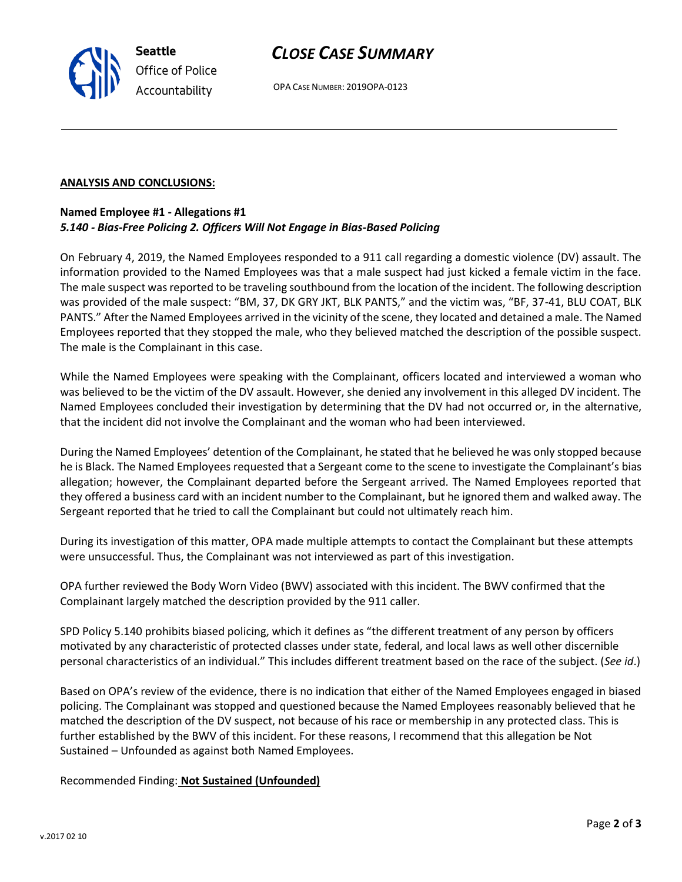# *CLOSE CASE SUMMARY*

OPA CASE NUMBER: 2019OPA-0123

### **ANALYSIS AND CONCLUSIONS:**

## **Named Employee #1 - Allegations #1** *5.140 - Bias-Free Policing 2. Officers Will Not Engage in Bias-Based Policing*

On February 4, 2019, the Named Employees responded to a 911 call regarding a domestic violence (DV) assault. The information provided to the Named Employees was that a male suspect had just kicked a female victim in the face. The male suspect was reported to be traveling southbound from the location of the incident. The following description was provided of the male suspect: "BM, 37, DK GRY JKT, BLK PANTS," and the victim was, "BF, 37-41, BLU COAT, BLK PANTS." After the Named Employees arrived in the vicinity of the scene, they located and detained a male. The Named Employees reported that they stopped the male, who they believed matched the description of the possible suspect. The male is the Complainant in this case.

While the Named Employees were speaking with the Complainant, officers located and interviewed a woman who was believed to be the victim of the DV assault. However, she denied any involvement in this alleged DV incident. The Named Employees concluded their investigation by determining that the DV had not occurred or, in the alternative, that the incident did not involve the Complainant and the woman who had been interviewed.

During the Named Employees' detention of the Complainant, he stated that he believed he was only stopped because he is Black. The Named Employees requested that a Sergeant come to the scene to investigate the Complainant's bias allegation; however, the Complainant departed before the Sergeant arrived. The Named Employees reported that they offered a business card with an incident number to the Complainant, but he ignored them and walked away. The Sergeant reported that he tried to call the Complainant but could not ultimately reach him.

During its investigation of this matter, OPA made multiple attempts to contact the Complainant but these attempts were unsuccessful. Thus, the Complainant was not interviewed as part of this investigation.

OPA further reviewed the Body Worn Video (BWV) associated with this incident. The BWV confirmed that the Complainant largely matched the description provided by the 911 caller.

SPD Policy 5.140 prohibits biased policing, which it defines as "the different treatment of any person by officers motivated by any characteristic of protected classes under state, federal, and local laws as well other discernible personal characteristics of an individual." This includes different treatment based on the race of the subject. (*See id*.)

Based on OPA's review of the evidence, there is no indication that either of the Named Employees engaged in biased policing. The Complainant was stopped and questioned because the Named Employees reasonably believed that he matched the description of the DV suspect, not because of his race or membership in any protected class. This is further established by the BWV of this incident. For these reasons, I recommend that this allegation be Not Sustained – Unfounded as against both Named Employees.

Recommended Finding: **Not Sustained (Unfounded)**



**Seattle** *Office of Police Accountability*